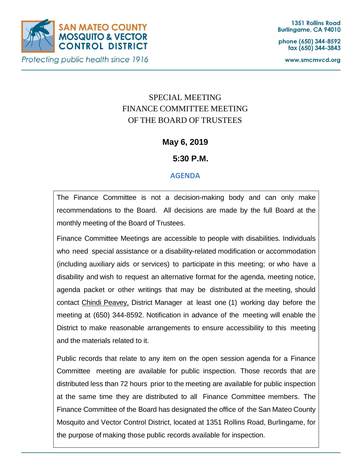

phone (650) 344-8592 fax (650) 344-3843

www.smcmvcd.org

# SPECIAL MEETING FINANCE COMMITTEE MEETING OF THE BOARD OF TRUSTEES

**May 6, 2019**

**5:30 P.M.**

# **AGENDA**

The Finance Committee is not a decision-making body and can only make recommendations to the Board. All decisions are made by the full Board at the monthly meeting of the Board of Trustees.

Finance Committee Meetings are accessible to people with disabilities. Individuals who need special assistance or a disability-related modification or accommodation (including auxiliary aids or services) to participate in this meeting; or who have a disability and wish to request an alternative format for the agenda, meeting notice, agenda packet or other writings that may be distributed at the meeting, should contact Chindi Peavey, District Manager at least one (1) working day before the meeting at (650) 344-8592. Notification in advance of the meeting will enable the District to make reasonable arrangements to ensure accessibility to this meeting and the materials related to it.

Public records that relate to any item on the open session agenda for a Finance Committee meeting are available for public inspection. Those records that are distributed less than 72 hours prior to the meeting are available for public inspection at the same time they are distributed to all Finance Committee members. The Finance Committee of the Board has designated the office of the San Mateo County Mosquito and Vector Control District, located at 1351 Rollins Road, Burlingame, for the purpose of making those public records available for inspection.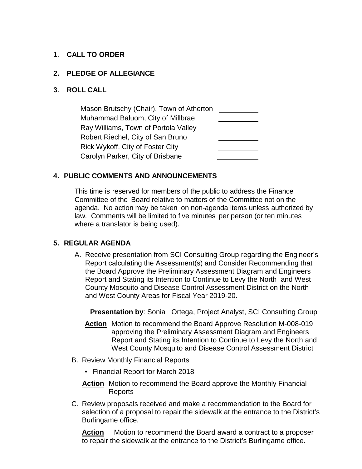## **1. CALL TO ORDER**

#### **2. PLEDGE OF ALLEGIANCE**

#### **3. ROLL CALL**

Mason Brutschy (Chair), Town of Atherton Muhammad Baluom, City of Millbrae Ray Williams, Town of Portola Valley Robert Riechel, City of San Bruno Rick Wykoff, City of Foster City Carolyn Parker, City of Brisbane

### **4. PUBLIC COMMENTS AND ANNOUNCEMENTS**

This time is reserved for members of the public to address the Finance Committee of the Board relative to matters of the Committee not on the agenda. No action may be taken on non-agenda items unless authorized by law. Comments will be limited to five minutes per person (or ten minutes where a translator is being used).

#### **5. REGULAR AGENDA**

A. Receive presentation from SCI Consulting Group regarding the Engineer's Report calculating the Assessment(s) and Consider Recommending that the Board Approve the Preliminary Assessment Diagram and Engineers Report and Stating its Intention to Continue to Levy the North and West County Mosquito and Disease Control Assessment District on the North and West County Areas for Fiscal Year 2019-20.

**Presentation by: Sonia** Ortega, Project Analyst, SCI Consulting Group

- **Action** Motion to recommend the Board Approve Resolution M-008-019 approving the Preliminary Assessment Diagram and Engineers Report and Stating its Intention to Continue to Levy the North and West County Mosquito and Disease Control Assessment District
- B. Review Monthly Financial Reports
	- Financial Report for March 2018
	- **Action** Motion to recommend the Board approve the Monthly Financial Reports
- C. Review proposals received and make a recommendation to the Board for selection of a proposal to repair the sidewalk at the entrance to the District's Burlingame office.

**Action** Motion to recommend the Board award a contract to a proposer to repair the sidewalk at the entrance to the District's Burlingame office.